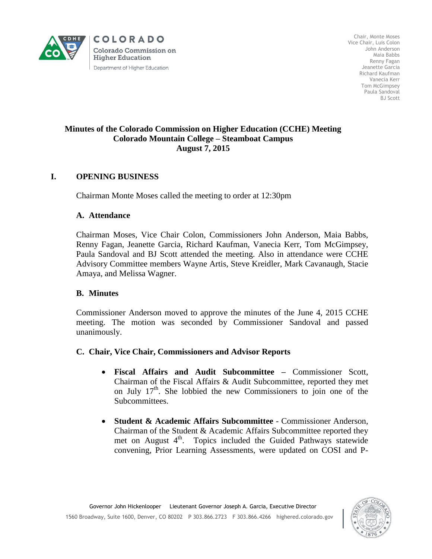

**COLORADO Colorado Commission on Higher Education** Department of Higher Education

Chair, Monte Moses Vice Chair, Luis Colon John Anderson Maia Babbs Renny Fagan Jeanette Garcia Richard Kaufman Vanecia Kerr Tom McGimpsey Paula Sandoval BJ Scott

### **Minutes of the Colorado Commission on Higher Education (CCHE) Meeting Colorado Mountain College – Steamboat Campus August 7, 2015**

# **I. OPENING BUSINESS**

Chairman Monte Moses called the meeting to order at 12:30pm

## **A. Attendance**

Chairman Moses, Vice Chair Colon, Commissioners John Anderson, Maia Babbs, Renny Fagan, Jeanette Garcia, Richard Kaufman, Vanecia Kerr, Tom McGimpsey, Paula Sandoval and BJ Scott attended the meeting. Also in attendance were CCHE Advisory Committee members Wayne Artis, Steve Kreidler, Mark Cavanaugh, Stacie Amaya, and Melissa Wagner.

# **B. Minutes**

Commissioner Anderson moved to approve the minutes of the June 4, 2015 CCHE meeting. The motion was seconded by Commissioner Sandoval and passed unanimously.

### **C. Chair, Vice Chair, Commissioners and Advisor Reports**

- **Fiscal Affairs and Audit Subcommittee –** Commissioner Scott, Chairman of the Fiscal Affairs & Audit Subcommittee, reported they met on July  $17<sup>th</sup>$ . She lobbied the new Commissioners to join one of the Subcommittees.
- **Student & Academic Affairs Subcommittee** Commissioner Anderson, Chairman of the Student & Academic Affairs Subcommittee reported they met on August 4<sup>th</sup>. Topics included the Guided Pathways statewide convening, Prior Learning Assessments, were updated on COSI and P-

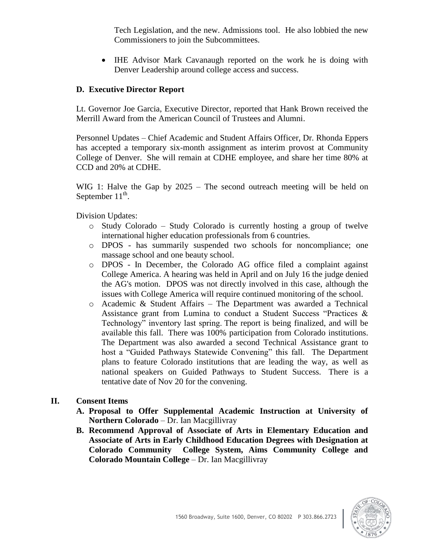Tech Legislation, and the new. Admissions tool. He also lobbied the new Commissioners to join the Subcommittees.

 IHE Advisor Mark Cavanaugh reported on the work he is doing with Denver Leadership around college access and success.

## **D. Executive Director Report**

Lt. Governor Joe Garcia, Executive Director, reported that Hank Brown received the Merrill Award from the American Council of Trustees and Alumni.

Personnel Updates – Chief Academic and Student Affairs Officer, Dr. Rhonda Eppers has accepted a temporary six-month assignment as interim provost at Community College of Denver. She will remain at CDHE employee, and share her time 80% at CCD and 20% at CDHE.

WIG 1: Halve the Gap by 2025 – The second outreach meeting will be held on September  $11^{\text{th}}$ .

Division Updates:

- $\circ$  Study Colorado Study Colorado is currently hosting a group of twelve international higher education professionals from 6 countries.
- o DPOS has summarily suspended two schools for noncompliance; one massage school and one beauty school.
- o DPOS In December, the Colorado AG office filed a complaint against College America. A hearing was held in April and on July 16 the judge denied the AG's motion. DPOS was not directly involved in this case, although the issues with College America will require continued monitoring of the school.
- o Academic & Student Affairs The Department was awarded a Technical Assistance grant from Lumina to conduct a Student Success "Practices & Technology" inventory last spring. The report is being finalized, and will be available this fall. There was 100% participation from Colorado institutions. The Department was also awarded a second Technical Assistance grant to host a "Guided Pathways Statewide Convening" this fall. The Department plans to feature Colorado institutions that are leading the way, as well as national speakers on Guided Pathways to Student Success. There is a tentative date of Nov 20 for the convening.

### **II. Consent Items**

- **A. Proposal to Offer Supplemental Academic Instruction at University of Northern Colorado** – Dr. Ian Macgillivray
- **B. Recommend Approval of Associate of Arts in Elementary Education and Associate of Arts in Early Childhood Education Degrees with Designation at Colorado Community College System, Aims Community College and Colorado Mountain College** – Dr. Ian Macgillivray